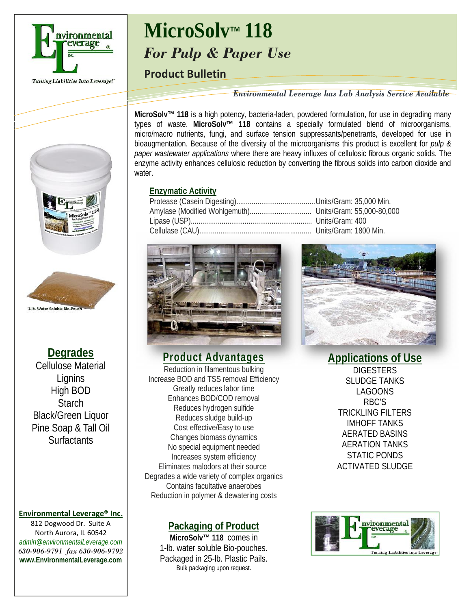

#### Turning Liabilities Into Leverage!"

# **MicroSolv**™ **118** *For Pulp & Paper Use*

### **Product Bulletin**

*Environmental Leverage has Lab Analysis Service Available*

**MicroSolv™ 118** is a high potency, bacteria-laden, powdered formulation, for use in degrading many types of waste. **MicroSolv™ 118** contains a specially formulated blend of microorganisms, micro/macro nutrients, fungi, and surface tension suppressants/penetrants, developed for use in bioaugmentation. Because of the diversity of the microorganisms this product is excellent for *pulp & paper wastewater applications* where there are heavy influxes of cellulosic fibrous organic solids. The enzyme activity enhances cellulosic reduction by converting the fibrous solids into carbon dioxide and water.

#### **Enzymatic Activity**





**Degrades** Cellulose Material **Lignins** High BOD **Starch** Black/Green Liquor Pine Soap & Tall Oil Surfactants

1-lb. Water Soluble Bio-Poud

### **Environmental Leverage® Inc.**

812 Dogwood Dr. Suite A North Aurora, IL 60542 *admin@environmentalLeverage.com 630-906-9791 fax 630-906-9792* **www.EnvironmentalLeverage.com** **Product Advantages** Reduction in filamentous bulking

Increase BOD and TSS removal Efficiency Greatly reduces labor time Enhances BOD/COD removal Reduces hydrogen sulfide Reduces sludge build-up Cost effective/Easy to use Changes biomass dynamics No special equipment needed Increases system efficiency Eliminates malodors at their source Degrades a wide variety of complex organics Contains facultative anaerobes Reduction in polymer & dewatering costs

### **Packaging of Product**

**MicroSolv™ 118** comes in 1-lb. water soluble Bio-pouches. Packaged in 25-lb. Plastic Pails. Bulk packaging upon request.

**Applications of Use DIGESTERS** SLUDGE TANKS LAGOONS RBC'S TRICKLING FILTERS IMHOFF TANKS AERATED BASINS AERATION TANKS STATIC PONDS ACTIVATED SLUDGE